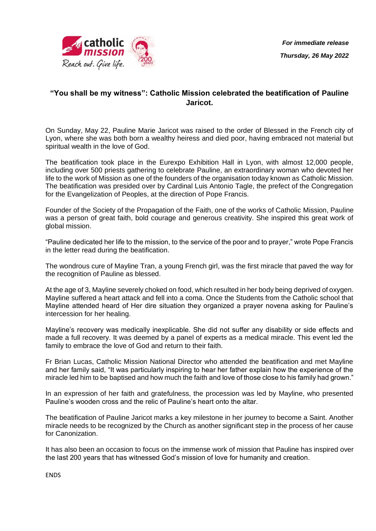

## **"You shall be my witness": Catholic Mission celebrated the beatification of Pauline Jaricot.**

On Sunday, May 22, Pauline Marie Jaricot was raised to the order of Blessed in the French city of Lyon, where she was both born a wealthy heiress and died poor, having embraced not material but spiritual wealth in the love of God.

The beatification took place in the Eurexpo Exhibition Hall in Lyon, with almost 12,000 people, including over 500 priests gathering to celebrate Pauline, an extraordinary woman who devoted her life to the work of Mission as one of the founders of the organisation today known as Catholic Mission. The beatification was presided over by Cardinal Luis Antonio Tagle, the prefect of the Congregation for the Evangelization of Peoples, at the direction of Pope Francis.

Founder of the Society of the Propagation of the Faith, one of the works of Catholic Mission, Pauline was a person of great faith, bold courage and generous creativity. She inspired this great work of global mission.

"Pauline dedicated her life to the mission, to the service of the poor and to prayer," wrote Pope Francis in the letter read during the beatification.

The wondrous cure of Mayline Tran, a young French girl, was the first miracle that paved the way for the recognition of Pauline as blessed.

At the age of 3, Mayline severely choked on food, which resulted in her body being deprived of oxygen. Mayline suffered a heart attack and fell into a coma. Once the Students from the Catholic school that Mayline attended heard of Her dire situation they organized a prayer novena asking for Pauline's intercession for her healing.

Mayline's recovery was medically inexplicable. She did not suffer any disability or side effects and made a full recovery. It was deemed by a panel of experts as a medical miracle. This event led the family to embrace the love of God and return to their faith.

Fr Brian Lucas, Catholic Mission National Director who attended the beatification and met Mayline and her family said, "It was particularly inspiring to hear her father explain how the experience of the miracle led him to be baptised and how much the faith and love of those close to his family had grown."

In an expression of her faith and gratefulness, the procession was led by Mayline, who presented Pauline's wooden cross and the relic of Pauline's heart onto the altar.

The beatification of Pauline Jaricot marks a key milestone in her journey to become a Saint. Another miracle needs to be recognized by the Church as another significant step in the process of her cause for Canonization.

It has also been an occasion to focus on the immense work of mission that Pauline has inspired over the last 200 years that has witnessed God's mission of love for humanity and creation.

**ENDS**